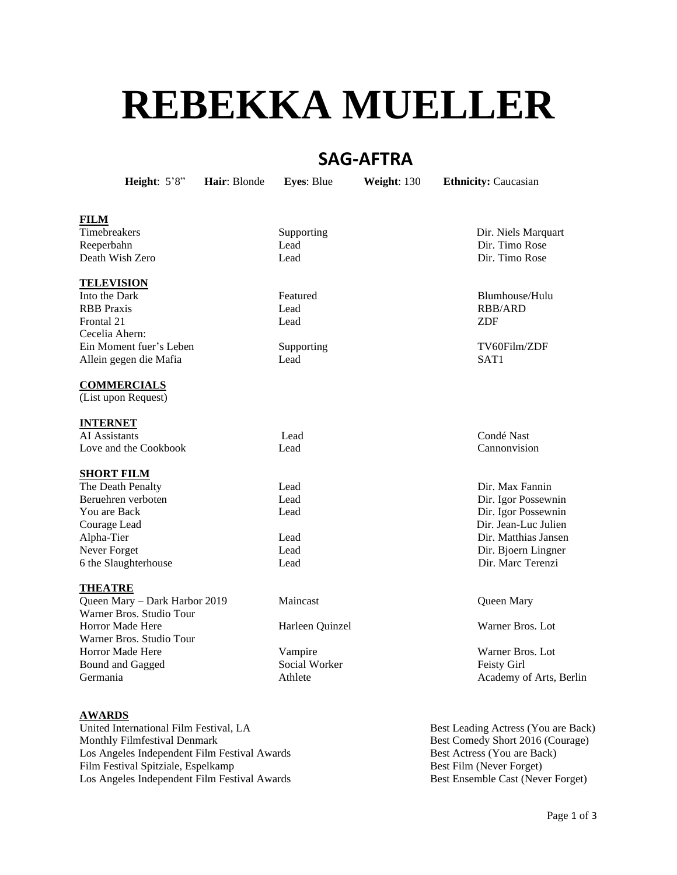# **REBEKKA MUELLER**

# **SAG-AFTRA**

**Height**: 5'8" **Hair**: Blonde **Eyes**: Blue **Weight**: 130 **Ethnicity:** Caucasian

# **FILM**

Reeperbahn Lead Dir. Timo Rose Death Wish Zero Lead Dir. Timo Rose

#### **TELEVISION**

Into the Dark **Featured** Featured **Blumhouse**/Hulu RBB Praxis Lead RBB/ARD Frontal 21 and ZDF Lead 21 and ZDF Cecelia Ahern: Ein Moment fuer's Leben Supporting TV60Film/ZDF Allein gegen die Mafia Lead SAT1

## **COMMERCIALS**

(List upon Request)

#### **INTERNET**

AI Assistants Lead Condé Nast Love and the Cookbook Lead Cannonvision

#### **SHORT FILM**

The Death Penalty **Lead Containers** Lead **Direct May Fannin** Beruehren verboten Lead Dir. Igor Possewnin You are Back **Lead** Lead **Dir.** Igor Possewnin Courage Lead Dir. Jean-Luc Julien Alpha-Tier Lead Dir. Matthias Jansen Never Forget Lead Lead Dir. Bjoern Lingner 6 the Slaughterhouse Lead Dir. Marc Terenzi

#### **THEATRE**

Queen Mary – Dark Harbor 2019 Maincast Queen Mary Warner Bros. Studio Tour Horror Made Here **Harleen Quinzel Warner Bros.** Lot Warner Bros. Studio Tour Horror Made Here Vampire Warner Bros. Lot Bound and Gagged Social Worker Feisty Girl Germania and Athlete Academy of Arts, Berlin

# **AWARDS**

United International Film Festival, LA Best Leading Actress (You are Back) Monthly Filmfestival Denmark Best Comedy Short 2016 (Courage) Los Angeles Independent Film Festival Awards Best Actress (You are Back) Film Festival Spitziale, Espelkamp Best Film (Never Forget) Best Film (Never Forget) Los Angeles Independent Film Festival Awards Best Ensemble Cast (Never Forget)

Timebreakers Supporting Supporting Dir. Niels Marquart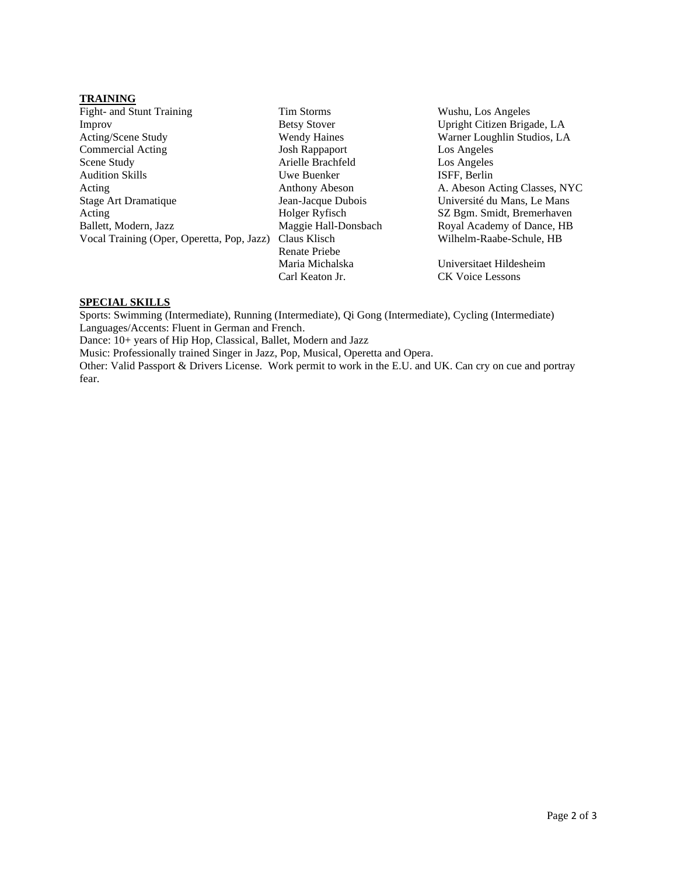#### **TRAINING**

Fight- and Stunt Training Tim Storms Tim Storms Wushu, Los Angeles Improv Betsy Stover Upright Citizen Brigade, LA Acting/Scene Study Wendy Haines Warner Loughlin Studios, LA Commercial Acting Josh Rappaport Los Angeles Scene Study Arielle Brachfeld Los Angeles Audition Skills Uwe Buenker ISFF, Berlin Acting Anthony Abeson A. Abeson Acting Classes, NYC Stage Art Dramatique Jean-Jacque Dubois Université du Mans, Le Mans Acting Holger Ryfisch SZ Bgm. Smidt, Bremerhaven Ballett, Modern, Jazz Maggie Hall-Donsbach Royal Academy of Dance, HB Vocal Training (Oper, Operetta, Pop, Jazz) Claus Klisch Wilhelm-Raabe-Schule, HB

Renate Priebe Maria Michalska Universitaet Hildesheim Carl Keaton Jr. CK Voice Lessons

#### **SPECIAL SKILLS**

Sports: Swimming (Intermediate), Running (Intermediate), Qi Gong (Intermediate), Cycling (Intermediate) Languages/Accents: Fluent in German and French.

Dance: 10+ years of Hip Hop, Classical, Ballet, Modern and Jazz

Music: Professionally trained Singer in Jazz, Pop, Musical, Operetta and Opera.

Other: Valid Passport & Drivers License. Work permit to work in the E.U. and UK. Can cry on cue and portray fear.